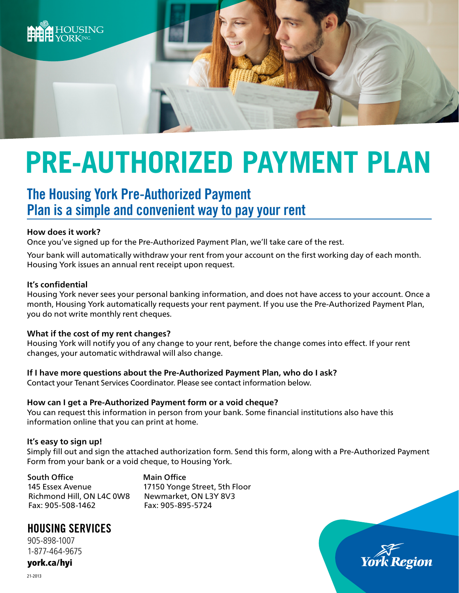

# **PRE-AUTHORIZED PAYMENT PLAN**

## The Housing York Pre-Authorized Payment Plan is a simple and convenient way to pay your rent

#### **How does it work?**

Once you've signed up for the Pre-Authorized Payment Plan, we'll take care of the rest.

Your bank will automatically withdraw your rent from your account on the first working day of each month. Housing York issues an annual rent receipt upon request.

#### **It's confidential**

Housing York never sees your personal banking information, and does not have access to your account. Once a month, Housing York automatically requests your rent payment. If you use the Pre-Authorized Payment Plan, you do not write monthly rent cheques.

#### **What if the cost of my rent changes?**

Housing York will notify you of any change to your rent, before the change comes into effect. If your rent changes, your automatic withdrawal will also change.

#### **If I have more questions about the Pre-Authorized Payment Plan, who do I ask?**

Contact your Tenant Services Coordinator. Please see contact information below.

#### **How can I get a Pre-Authorized Payment form or a void cheque?**

You can request this information in person from your bank. Some financial institutions also have this information online that you can print at home.

#### **It's easy to sign up!**

Simply fill out and sign the attached authorization form. Send this form, along with a Pre-Authorized Payment Form from your bank or a void cheque, to Housing York.

South Office 145 Essex Avenue Richmond Hill, ON L4C 0W8 Fax: 905-508-1462

Main Office 17150 Yonge Street, 5th Floor Newmarket, ON L3Y 8V3 Fax: 905-895-5724

### HOUSING SERVICES

905-898-1007 1-877-464-9675

york.ca/hyi



21-2013